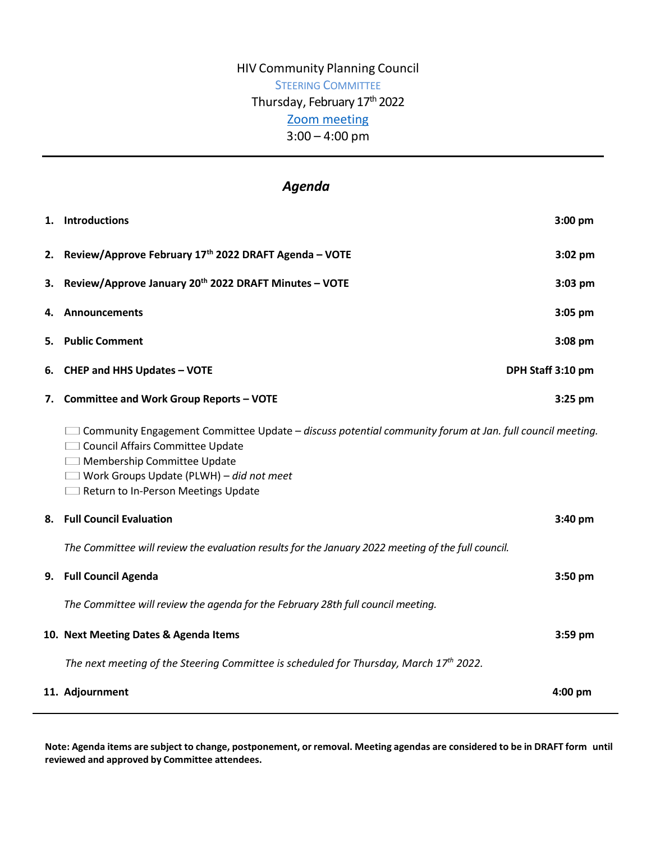## HIV Community Planning Council STEERING COMMITTEE Thursday, February 17<sup>th</sup> 2022 [Zoom meeting](https://us02web.zoom.us/j/83915304810?pwd=UytGNEs0WWhPQzB5TGlRUjFFS2lVdz09) 3:00 – 4:00 pm

# *Agenda*

|    | 1. Introductions                                                                                                                                                                                                                                                            | $3:00$ pm         |
|----|-----------------------------------------------------------------------------------------------------------------------------------------------------------------------------------------------------------------------------------------------------------------------------|-------------------|
|    | 2. Review/Approve February 17th 2022 DRAFT Agenda - VOTE                                                                                                                                                                                                                    | $3:02$ pm         |
| 3. | Review/Approve January 20th 2022 DRAFT Minutes - VOTE                                                                                                                                                                                                                       | $3:03$ pm         |
| 4. | Announcements                                                                                                                                                                                                                                                               | $3:05$ pm         |
| 5. | <b>Public Comment</b>                                                                                                                                                                                                                                                       | 3:08 pm           |
| 6. | <b>CHEP and HHS Updates - VOTE</b>                                                                                                                                                                                                                                          | DPH Staff 3:10 pm |
|    | 7. Committee and Work Group Reports - VOTE                                                                                                                                                                                                                                  | $3:25$ pm         |
|    | $\Box$ Community Engagement Committee Update – discuss potential community forum at Jan. full council meeting.<br>Council Affairs Committee Update<br>Membership Committee Update<br>$\Box$ Work Groups Update (PLWH) - did not meet<br>Return to In-Person Meetings Update |                   |
| 8. | <b>Full Council Evaluation</b>                                                                                                                                                                                                                                              | $3:40$ pm         |
|    | The Committee will review the evaluation results for the January 2022 meeting of the full council.                                                                                                                                                                          |                   |
|    | 9. Full Council Agenda                                                                                                                                                                                                                                                      | $3:50$ pm         |
|    | The Committee will review the agenda for the February 28th full council meeting.                                                                                                                                                                                            |                   |
|    | 10. Next Meeting Dates & Agenda Items                                                                                                                                                                                                                                       | 3:59 pm           |
|    | The next meeting of the Steering Committee is scheduled for Thursday, March $17th$ 2022.                                                                                                                                                                                    |                   |
|    | 11. Adjournment                                                                                                                                                                                                                                                             | $4:00$ pm         |

Note: Agenda items are subject to change, postponement, or removal. Meeting agendas are considered to be in DRAFT form until **reviewed and approved by Committee attendees.**